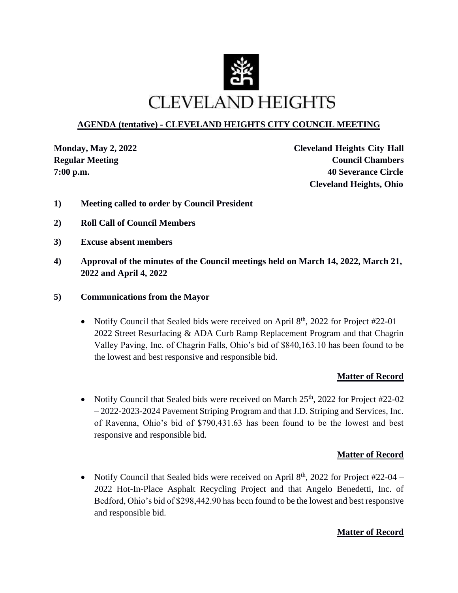

## **AGENDA (tentative) - CLEVELAND HEIGHTS CITY COUNCIL MEETING**

**Monday, May 2, 2022 Cleveland Heights City Hall Regular** Meeting **Council Chambers Council Chambers 7:00 p.m. 40 Severance Circle Cleveland Heights, Ohio**

- **1) Meeting called to order by Council President**
- **2) Roll Call of Council Members**
- **3) Excuse absent members**
- **4) Approval of the minutes of the Council meetings held on March 14, 2022, March 21, 2022 and April 4, 2022**
- **5) Communications from the Mayor**
	- Notify Council that Sealed bids were received on April  $8<sup>th</sup>$ , 2022 for Project #22-01 2022 Street Resurfacing & ADA Curb Ramp Replacement Program and that Chagrin Valley Paving, Inc. of Chagrin Falls, Ohio's bid of \$840,163.10 has been found to be the lowest and best responsive and responsible bid.

## **Matter of Record**

• Notify Council that Sealed bids were received on March  $25<sup>th</sup>$ , 2022 for Project #22-02 – 2022-2023-2024 Pavement Striping Program and that J.D. Striping and Services, Inc. of Ravenna, Ohio's bid of \$790,431.63 has been found to be the lowest and best responsive and responsible bid.

## **Matter of Record**

• Notify Council that Sealed bids were received on April  $8<sup>th</sup>$ , 2022 for Project #22-04 – 2022 Hot-In-Place Asphalt Recycling Project and that Angelo Benedetti, Inc. of Bedford, Ohio's bid of \$298,442.90 has been found to be the lowest and best responsive and responsible bid.

#### **Matter of Record**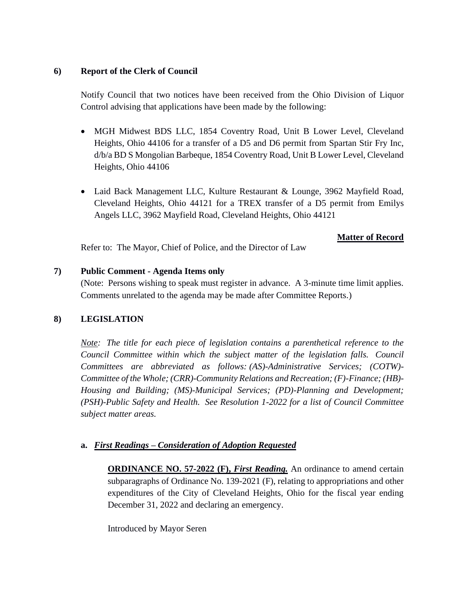#### **6) Report of the Clerk of Council**

Notify Council that two notices have been received from the Ohio Division of Liquor Control advising that applications have been made by the following:

- MGH Midwest BDS LLC, 1854 Coventry Road, Unit B Lower Level, Cleveland Heights, Ohio 44106 for a transfer of a D5 and D6 permit from Spartan Stir Fry Inc, d/b/a BD S Mongolian Barbeque, 1854 Coventry Road, Unit B Lower Level, Cleveland Heights, Ohio 44106
- Laid Back Management LLC, Kulture Restaurant & Lounge, 3962 Mayfield Road, Cleveland Heights, Ohio 44121 for a TREX transfer of a D5 permit from Emilys Angels LLC, 3962 Mayfield Road, Cleveland Heights, Ohio 44121

## **Matter of Record**

Refer to: The Mayor, Chief of Police, and the Director of Law

## **7) Public Comment - Agenda Items only**

(Note: Persons wishing to speak must register in advance. A 3-minute time limit applies. Comments unrelated to the agenda may be made after Committee Reports.)

## **8) LEGISLATION**

*Note: The title for each piece of legislation contains a parenthetical reference to the Council Committee within which the subject matter of the legislation falls. Council Committees are abbreviated as follows: (AS)-Administrative Services; (COTW)- Committee of the Whole; (CRR)-Community Relations and Recreation; (F)-Finance; (HB)- Housing and Building; (MS)-Municipal Services; (PD)-Planning and Development; (PSH)-Public Safety and Health. See Resolution 1-2022 for a list of Council Committee subject matter areas.* 

## **a.** *First Readings – Consideration of Adoption Requested*

**ORDINANCE NO. 57-2022 (F),** *First Reading.* An ordinance to amend certain subparagraphs of Ordinance No. 139-2021 (F), relating to appropriations and other expenditures of the City of Cleveland Heights, Ohio for the fiscal year ending December 31, 2022 and declaring an emergency.

Introduced by Mayor Seren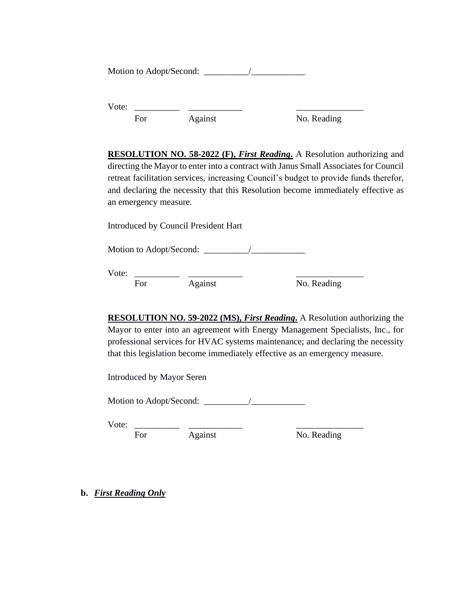Motion to Adopt/Second: \_\_\_\_\_\_\_\_\_\_/\_\_\_\_\_\_\_\_\_\_\_\_

Vote: \_\_\_\_\_\_\_\_\_\_ \_\_\_\_\_\_\_\_\_\_\_\_ \_\_\_\_\_\_\_\_\_\_\_\_\_\_\_ For Against No. Reading

**RESOLUTION NO. 58-2022 (F),** *First Reading***.** A Resolution authorizing and directing the Mayor to enter into a contract with Janus Small Associates for Council retreat facilitation services, increasing Council's budget to provide funds therefor, and declaring the necessity that this Resolution become immediately effective as an emergency measure.

Introduced by Council President Hart

Motion to Adopt/Second: \_\_\_\_\_\_\_\_\_\_/\_\_\_\_\_\_\_\_\_\_\_\_

Vote: \_\_\_\_\_\_\_\_\_\_ \_\_\_\_\_\_\_\_\_\_\_\_ \_\_\_\_\_\_\_\_\_\_\_\_\_\_\_

For Against No. Reading

**RESOLUTION NO. 59-2022 (MS),** *First Reading***.** A Resolution authorizing the Mayor to enter into an agreement with Energy Management Specialists, Inc., for professional services for HVAC systems maintenance; and declaring the necessity that this legislation become immediately effective as an emergency measure.

Introduced by Mayor Seren

Motion to Adopt/Second: \_\_\_\_\_\_\_\_\_\_/\_\_\_\_\_\_\_\_\_\_\_\_

Vote: \_\_\_\_\_\_\_\_\_\_ \_\_\_\_\_\_\_\_\_\_\_\_ \_\_\_\_\_\_\_\_\_\_\_\_\_\_\_

For Against No. Reading

**b.** *First Reading Only*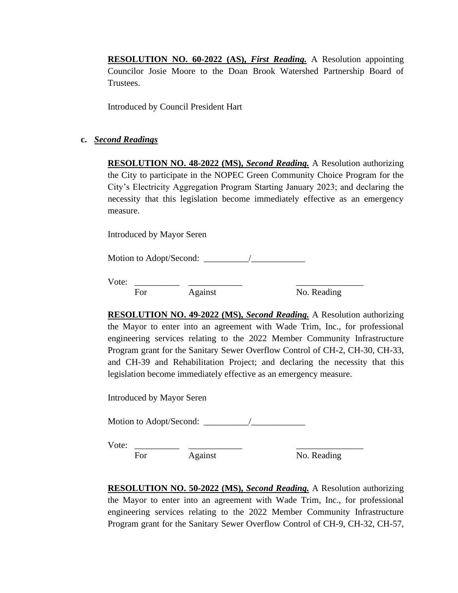**RESOLUTION NO. 60-2022 (AS),** *First Reading.* A Resolution appointing Councilor Josie Moore to the Doan Brook Watershed Partnership Board of Trustees.

Introduced by Council President Hart

#### **c.** *Second Readings*

**RESOLUTION NO. 48-2022 (MS),** *Second Reading.* A Resolution authorizing the City to participate in the NOPEC Green Community Choice Program for the City's Electricity Aggregation Program Starting January 2023; and declaring the necessity that this legislation become immediately effective as an emergency measure.

Introduced by Mayor Seren

Motion to Adopt/Second: \_\_\_\_\_\_\_\_\_\_/\_\_\_\_\_\_\_\_\_\_\_\_

Vote: \_\_\_\_\_\_\_\_\_\_ \_\_\_\_\_\_\_\_\_\_\_\_ \_\_\_\_\_\_\_\_\_\_\_\_\_\_\_ For Against No. Reading

**RESOLUTION NO. 49-2022 (MS),** *Second Reading.* A Resolution authorizing the Mayor to enter into an agreement with Wade Trim, Inc., for professional engineering services relating to the 2022 Member Community Infrastructure Program grant for the Sanitary Sewer Overflow Control of CH-2, CH-30, CH-33, and CH-39 and Rehabilitation Project; and declaring the necessity that this legislation become immediately effective as an emergency measure.

Introduced by Mayor Seren

Motion to Adopt/Second: \_\_\_\_\_\_\_\_\_\_/\_\_\_\_\_\_\_\_\_\_\_\_

Vote: \_\_\_\_\_\_\_\_\_\_ \_\_\_\_\_\_\_\_\_\_\_\_ \_\_\_\_\_\_\_\_\_\_\_\_\_\_\_

 $\overline{\text{For}}$   $\overline{\text{Again}}$   $\overline{\text{No. Reading}}$ 

**RESOLUTION NO. 50-2022 (MS),** *Second Reading.* A Resolution authorizing the Mayor to enter into an agreement with Wade Trim, Inc., for professional engineering services relating to the 2022 Member Community Infrastructure Program grant for the Sanitary Sewer Overflow Control of CH-9, CH-32, CH-57,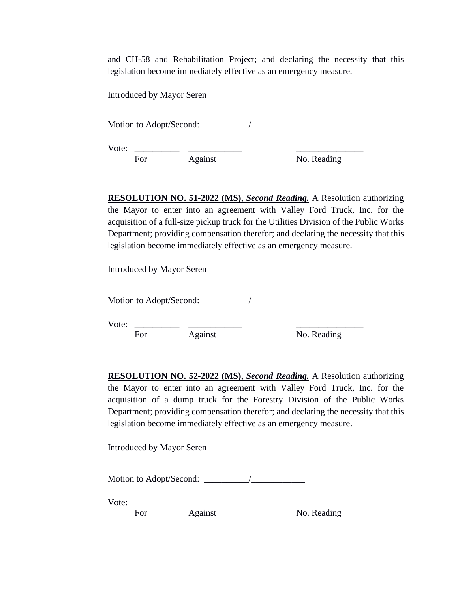and CH-58 and Rehabilitation Project; and declaring the necessity that this legislation become immediately effective as an emergency measure.

Introduced by Mayor Seren

Motion to Adopt/Second: \_\_\_\_\_\_\_\_\_\_/\_\_\_\_\_\_\_\_\_\_\_\_

Vote: \_\_\_\_\_\_\_\_\_\_ \_\_\_\_\_\_\_\_\_\_\_\_ \_\_\_\_\_\_\_\_\_\_\_\_\_\_\_

For Against No. Reading

**RESOLUTION NO. 51-2022 (MS),** *Second Reading.* A Resolution authorizing the Mayor to enter into an agreement with Valley Ford Truck, Inc. for the acquisition of a full-size pickup truck for the Utilities Division of the Public Works Department; providing compensation therefor; and declaring the necessity that this legislation become immediately effective as an emergency measure.

Introduced by Mayor Seren

Motion to Adopt/Second: \_\_\_\_\_\_\_\_\_\_/\_\_\_\_\_\_\_\_\_\_\_\_

Vote:  $\overline{\phantom{a}}$ 

For Against No. Reading

**RESOLUTION NO. 52-2022 (MS),** *Second Reading.* A Resolution authorizing the Mayor to enter into an agreement with Valley Ford Truck, Inc. for the acquisition of a dump truck for the Forestry Division of the Public Works Department; providing compensation therefor; and declaring the necessity that this legislation become immediately effective as an emergency measure.

Introduced by Mayor Seren

Motion to Adopt/Second: \_\_\_\_\_\_\_\_\_\_/\_\_\_\_\_\_\_\_\_\_\_\_

Vote: \_\_\_\_\_\_\_\_\_\_ \_\_\_\_\_\_\_\_\_\_\_\_ \_\_\_\_\_\_\_\_\_\_\_\_\_\_\_

For Against No. Reading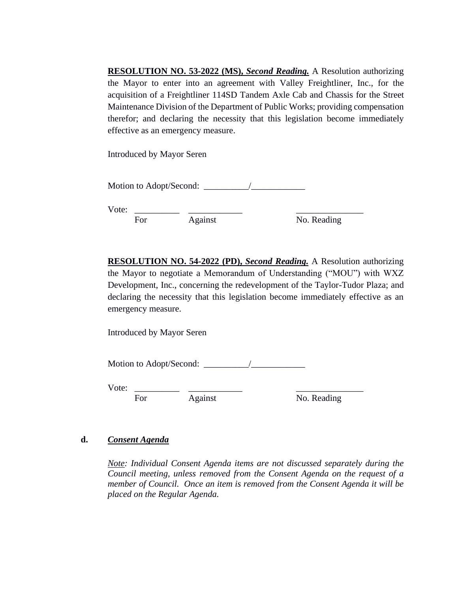**RESOLUTION NO. 53-2022 (MS),** *Second Reading.* A Resolution authorizing the Mayor to enter into an agreement with Valley Freightliner, Inc., for the acquisition of a Freightliner 114SD Tandem Axle Cab and Chassis for the Street Maintenance Division of the Department of Public Works; providing compensation therefor; and declaring the necessity that this legislation become immediately effective as an emergency measure.

Introduced by Mayor Seren

Motion to Adopt/Second: \_\_\_\_\_\_\_\_\_\_/\_\_\_\_\_\_\_\_\_\_\_\_

Vote: \_\_\_\_\_\_\_\_\_\_ \_\_\_\_\_\_\_\_\_\_\_\_ \_\_\_\_\_\_\_\_\_\_\_\_\_\_\_

For Against No. Reading

**RESOLUTION NO. 54-2022 (PD),** *Second Reading.* A Resolution authorizing the Mayor to negotiate a Memorandum of Understanding ("MOU") with WXZ Development, Inc., concerning the redevelopment of the Taylor-Tudor Plaza; and declaring the necessity that this legislation become immediately effective as an emergency measure.

Introduced by Mayor Seren

Motion to Adopt/Second: \_\_\_\_\_\_\_\_\_\_/\_\_\_\_\_\_\_\_\_\_\_\_

Vote: \_\_\_\_\_\_\_\_\_\_ \_\_\_\_\_\_\_\_\_\_\_\_ \_\_\_\_\_\_\_\_\_\_\_\_\_\_\_

For Against No. Reading

## **d.** *Consent Agenda*

*Note: Individual Consent Agenda items are not discussed separately during the Council meeting, unless removed from the Consent Agenda on the request of a member of Council. Once an item is removed from the Consent Agenda it will be placed on the Regular Agenda.*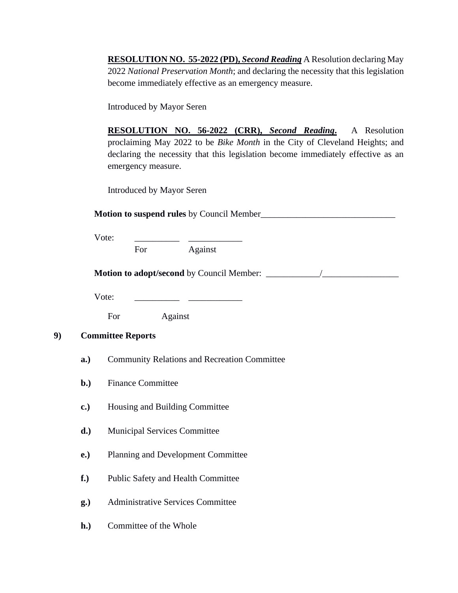**RESOLUTION NO. 55-2022 (PD),** *Second Reading* A Resolution declaring May 2022 *National Preservation Month*; and declaring the necessity that this legislation become immediately effective as an emergency measure.

Introduced by Mayor Seren

**RESOLUTION NO. 56-2022 (CRR),** *Second Reading***.** A Resolution proclaiming May 2022 to be *Bike Month* in the City of Cleveland Heights; and declaring the necessity that this legislation become immediately effective as an emergency measure.

Introduced by Mayor Seren

**Motion to suspend rules** by Council Member\_\_\_\_\_\_\_\_\_\_\_\_\_\_\_\_\_\_\_\_\_\_\_\_\_\_\_\_\_\_

Vote:

For Against

**Motion to adopt/second** by Council Member: \_\_\_\_\_\_\_\_\_\_\_\_/\_\_\_\_\_\_\_\_\_\_\_\_\_\_\_\_\_

Vote:

For Against

#### **9) Committee Reports**

- **a.)** Community Relations and Recreation Committee
- **b.)** Finance Committee
- **c.)** Housing and Building Committee
- **d.)** Municipal Services Committee
- **e.)** Planning and Development Committee
- **f.)** Public Safety and Health Committee
- **g.)** Administrative Services Committee
- **h.)** Committee of the Whole